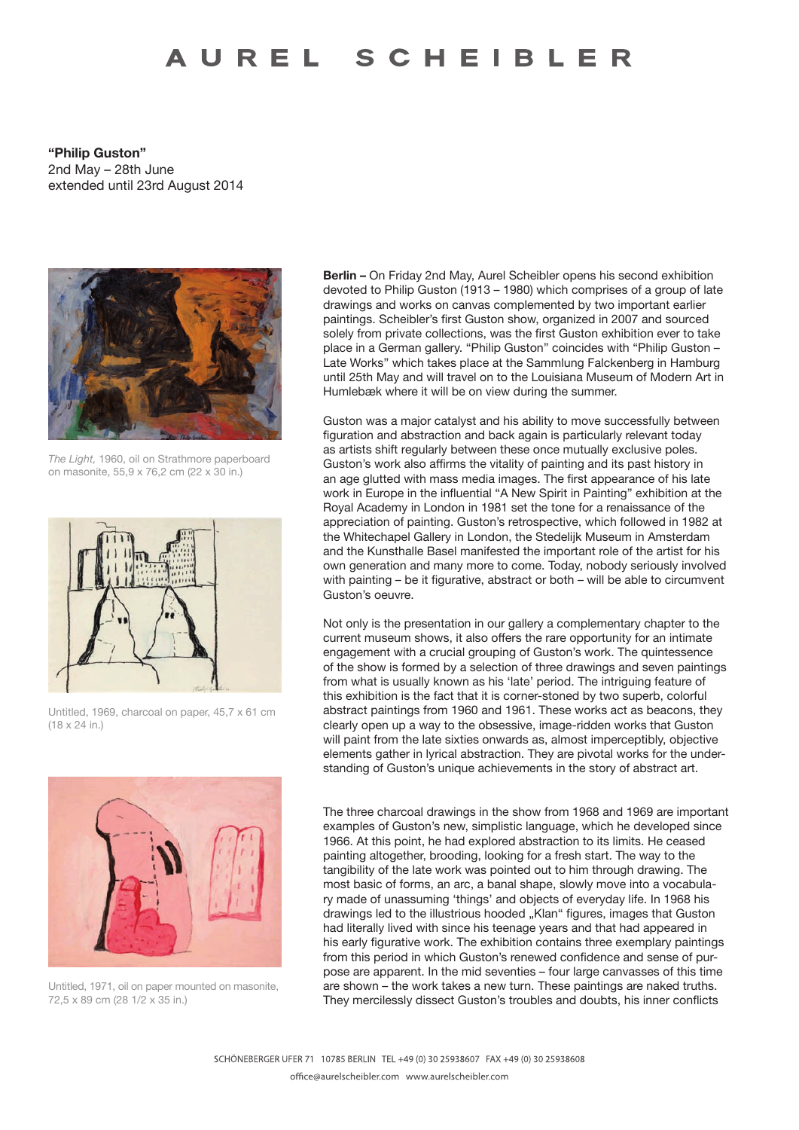## AUREL SCHEIBLER

**"Philip Guston"** 2nd May – 28th June extended until 23rd August 2014



*The Light,* 1960, oil on Strathmore paperboard on masonite, 55,9 x 76,2 cm (22 x 30 in.)



Untitled, 1969, charcoal on paper, 45,7 x 61 cm (18 x 24 in.)



Untitled, 1971, oil on paper mounted on masonite, 72,5 x 89 cm (28 1/2 x 35 in.)

**Berlin –** On Friday 2nd May, Aurel Scheibler opens his second exhibition devoted to Philip Guston (1913 – 1980) which comprises of a group of late drawings and works on canvas complemented by two important earlier paintings. Scheibler's first Guston show, organized in 2007 and sourced solely from private collections, was the first Guston exhibition ever to take place in a German gallery. "Philip Guston" coincides with "Philip Guston – Late Works" which takes place at the Sammlung Falckenberg in Hamburg until 25th May and will travel on to the Louisiana Museum of Modern Art in Humlebæk where it will be on view during the summer.

Guston was a major catalyst and his ability to move successfully between figuration and abstraction and back again is particularly relevant today as artists shift regularly between these once mutually exclusive poles. Guston's work also affirms the vitality of painting and its past history in an age glutted with mass media images. The first appearance of his late work in Europe in the influential "A New Spirit in Painting" exhibition at the Royal Academy in London in 1981 set the tone for a renaissance of the appreciation of painting. Guston's retrospective, which followed in 1982 at the Whitechapel Gallery in London, the Stedelijk Museum in Amsterdam and the Kunsthalle Basel manifested the important role of the artist for his own generation and many more to come. Today, nobody seriously involved with painting – be it figurative, abstract or both – will be able to circumvent Guston's oeuvre.

Not only is the presentation in our gallery a complementary chapter to the current museum shows, it also offers the rare opportunity for an intimate engagement with a crucial grouping of Guston's work. The quintessence of the show is formed by a selection of three drawings and seven paintings from what is usually known as his 'late' period. The intriguing feature of this exhibition is the fact that it is corner-stoned by two superb, colorful abstract paintings from 1960 and 1961. These works act as beacons, they clearly open up a way to the obsessive, image-ridden works that Guston will paint from the late sixties onwards as, almost imperceptibly, objective elements gather in lyrical abstraction. They are pivotal works for the understanding of Guston's unique achievements in the story of abstract art.

The three charcoal drawings in the show from 1968 and 1969 are important examples of Guston's new, simplistic language, which he developed since 1966. At this point, he had explored abstraction to its limits. He ceased painting altogether, brooding, looking for a fresh start. The way to the tangibility of the late work was pointed out to him through drawing. The most basic of forms, an arc, a banal shape, slowly move into a vocabulary made of unassuming 'things' and objects of everyday life. In 1968 his drawings led to the illustrious hooded "Klan" figures, images that Guston had literally lived with since his teenage years and that had appeared in his early figurative work. The exhibition contains three exemplary paintings from this period in which Guston's renewed confidence and sense of purpose are apparent. In the mid seventies – four large canvasses of this time are shown – the work takes a new turn. These paintings are naked truths. They mercilessly dissect Guston's troubles and doubts, his inner conflicts